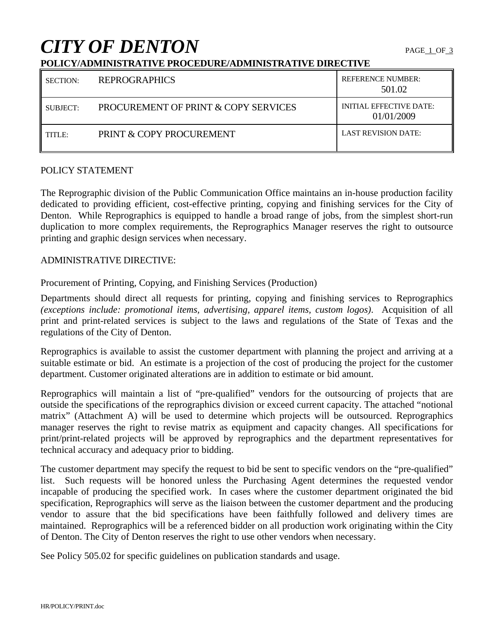# *CITY OF DENTON* PAGE 1 OF 3

#### **POLICY/ADMINISTRATIVE PROCEDURE/ADMINISTRATIVE DIRECTIVE**

| <b>SECTION:</b> | <b>REPROGRAPHICS</b>                 | <b>REFERENCE NUMBER:</b><br>501.02           |
|-----------------|--------------------------------------|----------------------------------------------|
| SUBJECT:        | PROCUREMENT OF PRINT & COPY SERVICES | <b>INITIAL EFFECTIVE DATE:</b><br>01/01/2009 |
| TITLE:          | PRINT & COPY PROCUREMENT             | <b>LAST REVISION DATE:</b>                   |

#### POLICY STATEMENT

The Reprographic division of the Public Communication Office maintains an in-house production facility dedicated to providing efficient, cost-effective printing, copying and finishing services for the City of Denton. While Reprographics is equipped to handle a broad range of jobs, from the simplest short-run duplication to more complex requirements, the Reprographics Manager reserves the right to outsource printing and graphic design services when necessary.

#### ADMINISTRATIVE DIRECTIVE:

Procurement of Printing, Copying, and Finishing Services (Production)

Departments should direct all requests for printing, copying and finishing services to Reprographics *(exceptions include: promotional items, advertising, apparel items, custom logos)*. Acquisition of all print and print-related services is subject to the laws and regulations of the State of Texas and the regulations of the City of Denton.

Reprographics is available to assist the customer department with planning the project and arriving at a suitable estimate or bid. An estimate is a projection of the cost of producing the project for the customer department. Customer originated alterations are in addition to estimate or bid amount.

Reprographics will maintain a list of "pre-qualified" vendors for the outsourcing of projects that are outside the specifications of the reprographics division or exceed current capacity. The attached "notional matrix" (Attachment A) will be used to determine which projects will be outsourced. Reprographics manager reserves the right to revise matrix as equipment and capacity changes. All specifications for print/print-related projects will be approved by reprographics and the department representatives for technical accuracy and adequacy prior to bidding.

The customer department may specify the request to bid be sent to specific vendors on the "pre-qualified" list. Such requests will be honored unless the Purchasing Agent determines the requested vendor incapable of producing the specified work. In cases where the customer department originated the bid specification, Reprographics will serve as the liaison between the customer department and the producing vendor to assure that the bid specifications have been faithfully followed and delivery times are maintained. Reprographics will be a referenced bidder on all production work originating within the City of Denton. The City of Denton reserves the right to use other vendors when necessary.

See Policy 505.02 for specific guidelines on publication standards and usage.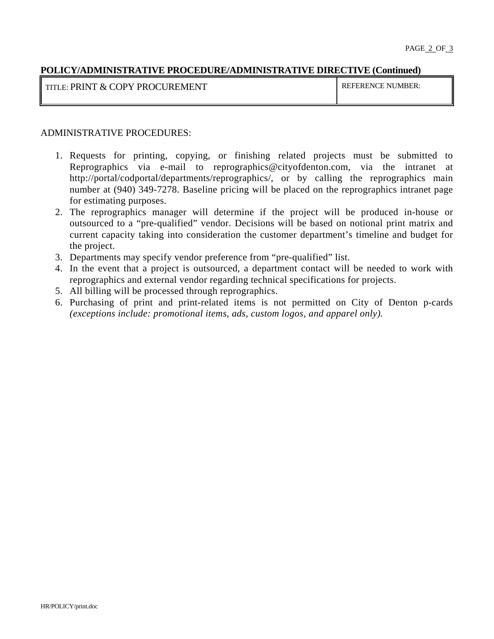#### **POLICY/ADMINISTRATIVE PROCEDURE/ADMINISTRATIVE DIRECTIVE (Continued)**

TITLE: PRINT & COPY PROCUREMENT REFERENCE NUMBER:

#### ADMINISTRATIVE PROCEDURES:

- 1. Requests for printing, copying, or finishing related projects must be submitted to Reprographics via e-mail to reprographics@cityofdenton.com, via the intranet at http://portal/codportal/departments/reprographics/, or by calling the reprographics main number at (940) 349-7278. Baseline pricing will be placed on the reprographics intranet page for estimating purposes.
- 2. The reprographics manager will determine if the project will be produced in-house or outsourced to a "pre-qualified" vendor. Decisions will be based on notional print matrix and current capacity taking into consideration the customer department's timeline and budget for the project.
- 3. Departments may specify vendor preference from "pre-qualified" list.
- 4. In the event that a project is outsourced, a department contact will be needed to work with reprographics and external vendor regarding technical specifications for projects.
- 5. All billing will be processed through reprographics.
- 6. Purchasing of print and print-related items is not permitted on City of Denton p-cards *(exceptions include: promotional items, ads, custom logos, and apparel only).*